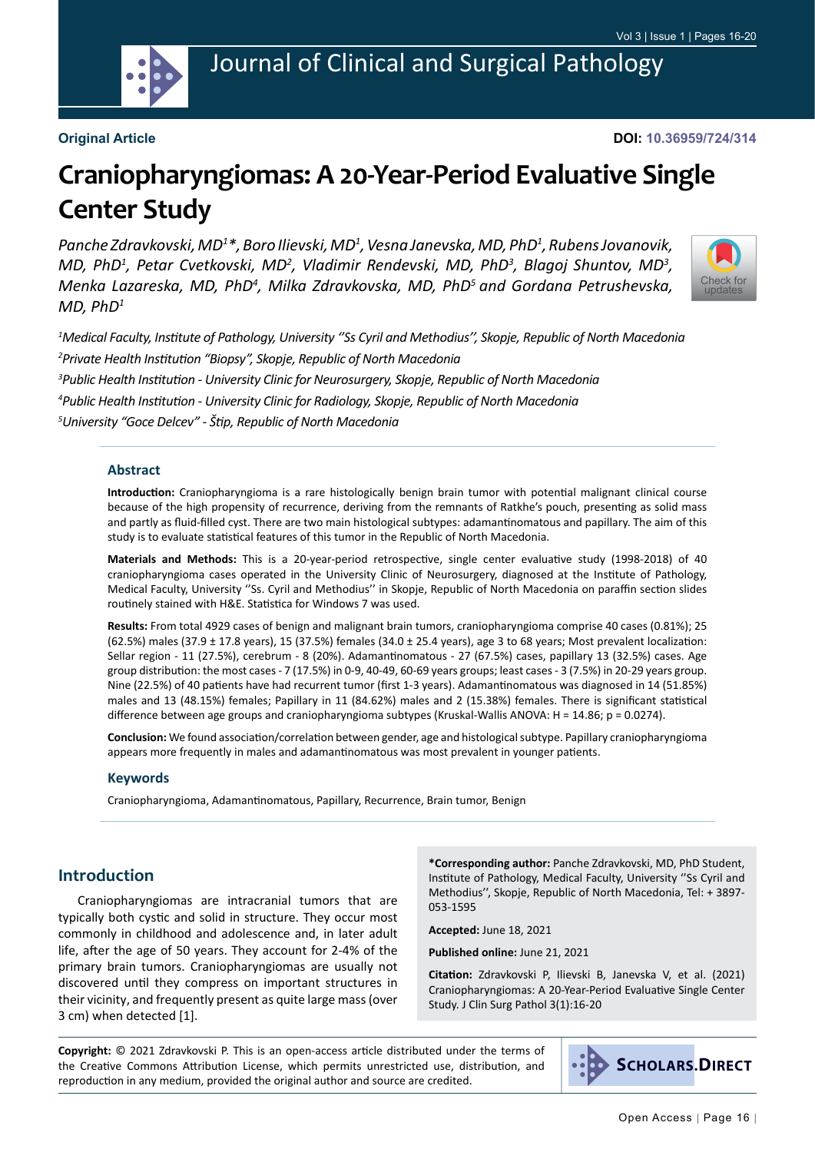

Journal of Clinical and Surgical Pathology

## **Original Article**

**DOI: 10.36959/724/314**

# **Craniopharyngiomas: A 20-Year-Period Evaluative Single Center Study**

Panche Zdravkovski, MD<sup>1</sup>\*, Boro Ilievski, MD<sup>1</sup>, Vesna Janevska, MD, PhD<sup>1</sup>, Rubens Jovanovik, *MD, PhD<sup>1</sup>, Petar Cvetkovski, MD<sup>2</sup>, Vladimir Rendevski, MD, PhD<sup>3</sup>, Blagoj Shuntov, MD<sup>3</sup>,* Menka Lazareska, MD, PhD<sup>4</sup>, Milka Zdravkovska, MD, PhD<sup>5</sup> and Gordana Petrushevska, *MD, PhD1*



 *Medical Faculty, Institute of Pathology, University ''Ss Cyril and Methodius'', Skopje, Republic of North Macedonia Private Health Institution "Biopsy", Skopje, Republic of North Macedonia Public Health Institution - University Clinic for Neurosurgery, Skopje, Republic of North Macedonia Public Health Institution - University Clinic for Radiology, Skopje, Republic of North Macedonia University "Goce Delcev" - Štip, Republic of North Macedonia*

### **Abstract**

**Introduction:** Craniopharyngioma is a rare histologically benign brain tumor with potential malignant clinical course because of the high propensity of recurrence, deriving from the remnants of Ratkhe's pouch, presenting as solid mass and partly as fluid-filled cyst. There are two main histological subtypes: adamantinomatous and papillary. The aim of this study is to evaluate statistical features of this tumor in the Republic of North Macedonia.

**Materials and Methods:** This is a 20-year-period retrospective, single center evaluative study (1998-2018) of 40 craniopharyngioma cases operated in the University Clinic of Neurosurgery, diagnosed at the Institute of Pathology, Medical Faculty, University ''Ss. Cyril and Methodius'' in Skopje, Republic of North Macedonia on paraffin section slides routinely stained with H&E. Statistica for Windows 7 was used.

**Results:** From total 4929 cases of benign and malignant brain tumors, craniopharyngioma comprise 40 cases (0.81%); 25 (62.5%) males (37.9 ± 17.8 years), 15 (37.5%) females (34.0 ± 25.4 years), age 3 to 68 years; Most prevalent localization: Sellar region - 11 (27.5%), cerebrum - 8 (20%). Adamantinomatous - 27 (67.5%) cases, papillary 13 (32.5%) cases. Age group distribution: the most cases - 7 (17.5%) in 0-9, 40-49, 60-69 years groups; least cases - 3 (7.5%) in 20-29 years group. Nine (22.5%) of 40 patients have had recurrent tumor (first 1-3 years). Adamantinomatous was diagnosed in 14 (51.85%) males and 13 (48.15%) females; Papillary in 11 (84.62%) males and 2 (15.38%) females. There is significant statistical difference between age groups and craniopharyngioma subtypes (Kruskal-Wallis ANOVA: H = 14.86; p = 0.0274).

**Conclusion:** We found association/correlation between gender, age and histological subtype. Papillary craniopharyngioma appears more frequently in males and adamantinomatous was most prevalent in younger patients.

#### **Keywords**

Craniopharyngioma, Adamantinomatous, Papillary, Recurrence, Brain tumor, Benign

## **Introduction**

Craniopharyngiomas are intracranial tumors that are typically both cystic and solid in structure. They occur most commonly in childhood and adolescence and, in later adult life, after the age of 50 years. They account for 2-4% of the primary brain tumors. Craniopharyngiomas are usually not discovered until they compress on important structures in their vicinity, and frequently present as quite large mass (over 3 cm) when detected [1].

**\*Corresponding author:** Panche Zdravkovski, MD, PhD Student, Institute of Pathology, Medical Faculty, University ''Ss Cyril and Methodius'', Skopje, Republic of North Macedonia, Tel: + 3897- 053-1595

**Accepted:** June 18, 2021

**Published online:** June 21, 2021

**Citation:** Zdravkovski P, Ilievski B, Janevska V, et al. (2021) Craniopharyngiomas: A 20-Year-Period Evaluative Single Center Study. J Clin Surg Pathol 3(1):16-20

**Copyright:** © 2021 Zdravkovski P. This is an open-access article distributed under the terms of the Creative Commons Attribution License, which permits unrestricted use, distribution, and reproduction in any medium, provided the original author and source are credited.

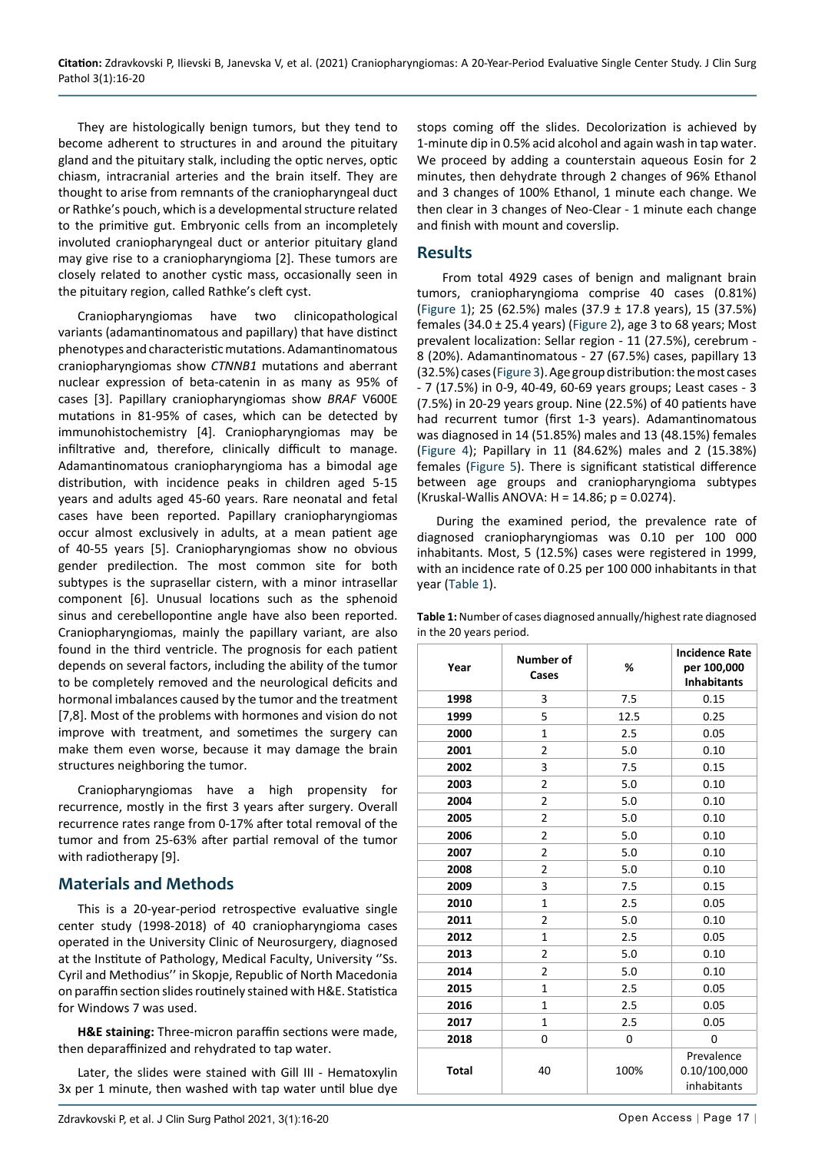They are histologically benign tumors, but they tend to become adherent to structures in and around the pituitary gland and the pituitary stalk, including the optic nerves, optic chiasm, intracranial arteries and the brain itself. They are thought to arise from remnants of the craniopharyngeal duct or Rathke's pouch, which is a developmental structure related to the primitive gut. Embryonic cells from an incompletely involuted craniopharyngeal duct or anterior pituitary gland may give rise to a craniopharyngioma [2]. These tumors are closely related to another cystic mass, occasionally seen in the pituitary region, called Rathke's cleft cyst.

Craniopharyngiomas have two clinicopathological variants (adamantinomatous and papillary) that have distinct phenotypes and characteristic mutations.Adamantinomatous craniopharyngiomas show *CTNNB1* mutations and aberrant nuclear expression of beta-catenin in as many as 95% of cases [3]. Papillary craniopharyngiomas show *BRAF* V600E mutations in 81-95% of cases, which can be detected by immunohistochemistry [4]. Craniopharyngiomas may be infiltrative and, therefore, clinically difficult to manage. Adamantinomatous craniopharyngioma has a bimodal age distribution, with incidence peaks in children aged 5-15 years and adults aged 45-60 years. Rare neonatal and fetal cases have been reported. Papillary craniopharyngiomas occur almost exclusively in adults, at a mean patient age of 40-55 years [5]. Craniopharyngiomas show no obvious gender predilection. The most common site for both subtypes is the suprasellar cistern, with a minor intrasellar component [6]. Unusual locations such as the sphenoid sinus and cerebellopontine angle have also been reported. Craniopharyngiomas, mainly the papillary variant, are also found in the third ventricle. The prognosis for each patient depends on several factors, including the ability of the tumor to be completely removed and the neurological deficits and hormonal imbalances caused by the tumor and the treatment [7,8]. Most of the problems with hormones and vision do not improve with treatment, and sometimes the surgery can make them even worse, because it may damage the brain structures neighboring the tumor.

Craniopharyngiomas have a high propensity for recurrence, mostly in the first 3 years after surgery. Overall recurrence rates range from 0-17% after total removal of the tumor and from 25-63% after partial removal of the tumor with radiotherapy [9].

# **Materials and Methods**

This is a 20-year-period retrospective evaluative single center study (1998-2018) of 40 craniopharyngioma cases operated in the University Clinic of Neurosurgery, diagnosed at the Institute of Pathology, Medical Faculty, University ''Ss. Cyril and Methodius'' in Skopje, Republic of North Macedonia on paraffin section slides routinely stained with H&E. Statistica for Windows 7 was used.

**H&E staining:** Three-micron paraffin sections were made, then deparaffinized and rehydrated to tap water.

Later, the slides were stained with Gill III - Hematoxylin 3x per 1 minute, then washed with tap water until blue dye stops coming off the slides. Decolorization is achieved by 1-minute dip in 0.5% acid alcohol and again wash in tap water. We proceed by adding a counterstain aqueous Eosin for 2 minutes, then dehydrate through 2 changes of 96% Ethanol and 3 changes of 100% Ethanol, 1 minute each change. We then clear in 3 changes of Neo-Clear - 1 minute each change and finish with mount and coverslip.

# **Results**

 From total 4929 cases of benign and malignant brain tumors, craniopharyngioma comprise 40 cases (0.81%) ([Figure 1](#page-2-0)); 25 (62.5%) males (37.9 ± 17.8 years), 15 (37.5%) females (34.0  $\pm$  25.4 years) [\(Figure 2\)](#page-2-1), age 3 to 68 years; Most prevalent localization: Sellar region - 11 (27.5%), cerebrum - 8 (20%). Adamantinomatous - 27 (67.5%) cases, papillary 13 (32.5%) cases [\(Figure 3\)](#page-2-2). Age group distribution: the most cases - 7 (17.5%) in 0-9, 40-49, 60-69 years groups; Least cases - 3 (7.5%) in 20-29 years group. Nine (22.5%) of 40 patients have had recurrent tumor (first 1-3 years). Adamantinomatous was diagnosed in 14 (51.85%) males and 13 (48.15%) females ([Figure 4\)](#page-2-3); Papillary in 11 (84.62%) males and 2 (15.38%) females ([Figure 5\)](#page-2-4). There is significant statistical difference between age groups and craniopharyngioma subtypes (Kruskal-Wallis ANOVA: H = 14.86; p = 0.0274).

During the examined period, the prevalence rate of diagnosed craniopharyngiomas was 0.10 per 100 000 inhabitants. Most, 5 (12.5%) cases were registered in 1999, with an incidence rate of 0.25 per 100 000 inhabitants in that year ([Table 1](#page-1-0)).

<span id="page-1-0"></span>

| Table 1: Number of cases diagnosed annually/highest rate diagnosed |  |
|--------------------------------------------------------------------|--|
| in the 20 years period.                                            |  |

| Year         | Number of<br>Cases | %    | <b>Incidence Rate</b><br>per 100,000<br><b>Inhabitants</b> |
|--------------|--------------------|------|------------------------------------------------------------|
| 1998         | 3                  | 7.5  | 0.15                                                       |
| 1999         | 5                  | 12.5 | 0.25                                                       |
| 2000         | 1                  | 2.5  | 0.05                                                       |
| 2001         | 2                  | 5.0  | 0.10                                                       |
| 2002         | 3                  | 7.5  | 0.15                                                       |
| 2003         | 2                  | 5.0  | 0.10                                                       |
| 2004         | 2                  | 5.0  | 0.10                                                       |
| 2005         | $\overline{2}$     | 5.0  | 0.10                                                       |
| 2006         | $\overline{2}$     | 5.0  | 0.10                                                       |
| 2007         | 2                  | 5.0  | 0.10                                                       |
| 2008         | 2                  | 5.0  | 0.10                                                       |
| 2009         | 3                  | 7.5  | 0.15                                                       |
| 2010         | 1                  | 2.5  | 0.05                                                       |
| 2011         | $\overline{2}$     | 5.0  | 0.10                                                       |
| 2012         | 1                  | 2.5  | 0.05                                                       |
| 2013         | 2                  | 5.0  | 0.10                                                       |
| 2014         | 2                  | 5.0  | 0.10                                                       |
| 2015         | $\mathbf{1}$       | 2.5  | 0.05                                                       |
| 2016         | $\mathbf{1}$       | 2.5  | 0.05                                                       |
| 2017         | $\mathbf{1}$       | 2.5  | 0.05                                                       |
| 2018         | 0                  | 0    | 0                                                          |
| <b>Total</b> | 40                 | 100% | Prevalence<br>0.10/100,000<br>inhabitants                  |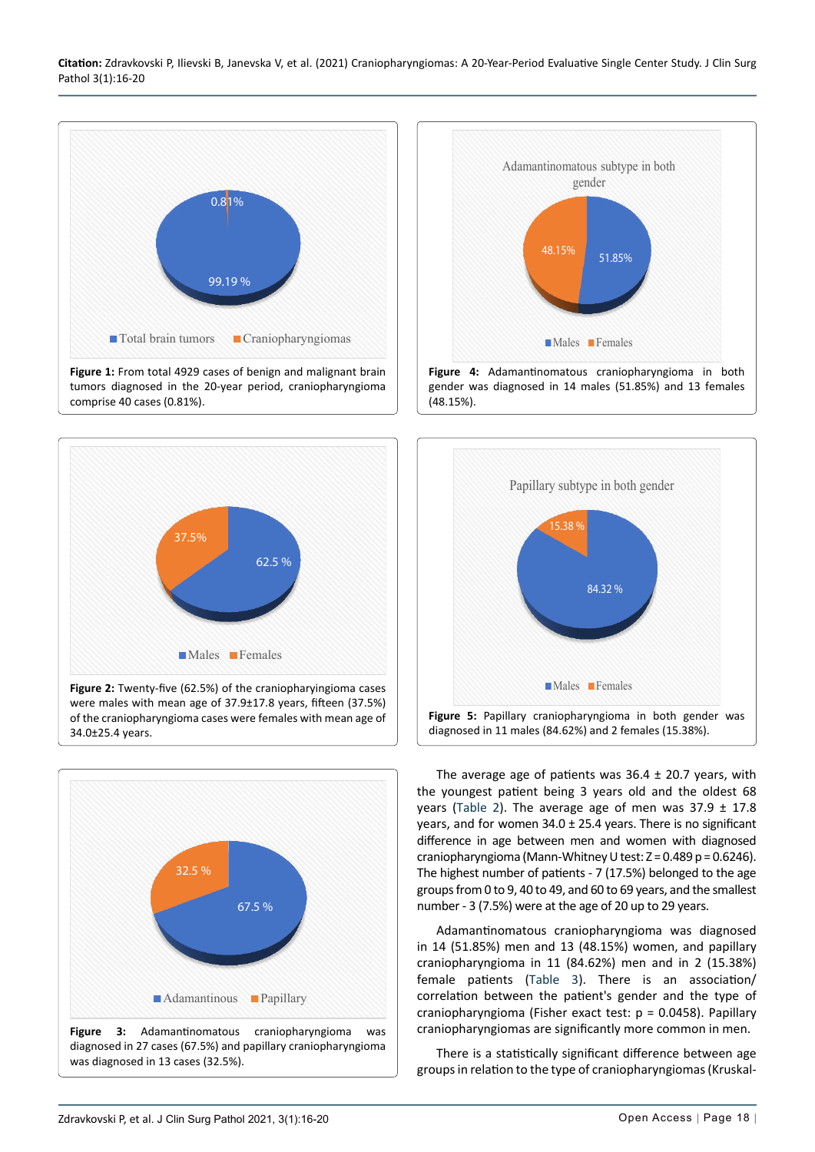<span id="page-2-0"></span>

<span id="page-2-1"></span>

**Figure 2:** Twenty-five (62.5%) of the craniopharyingioma cases were males with mean age of 37.9±17.8 years, fifteen (37.5%) of the craniopharyngioma cases were females with mean age of 34.0±25.4 years.

<span id="page-2-2"></span>

<span id="page-2-3"></span>

<span id="page-2-4"></span>

The average age of patients was  $36.4 \pm 20.7$  years, with the youngest patient being 3 years old and the oldest 68 years ([Table 2](#page-3-0)). The average age of men was  $37.9 \pm 17.8$ years, and for women 34.0 ± 25.4 years. There is no significant difference in age between men and women with diagnosed craniopharyngioma (Mann-Whitney U test: Z = 0.489 p = 0.6246). The highest number of patients - 7 (17.5%) belonged to the age groups from 0 to 9, 40 to 49, and 60 to 69 years, and the smallest number - 3 (7.5%) were at the age of 20 up to 29 years.

Adamantinomatous craniopharyngioma was diagnosed in 14 (51.85%) men and 13 (48.15%) women, and papillary craniopharyngioma in 11 (84.62%) men and in 2 (15.38%) female patients ([Table 3\)](#page-3-1). There is an association/ correlation between the patient's gender and the type of craniopharyngioma (Fisher exact test: p = 0.0458). Papillary craniopharyngiomas are significantly more common in men.

There is a statistically significant difference between age groups in relation to the type of craniopharyngiomas (Kruskal-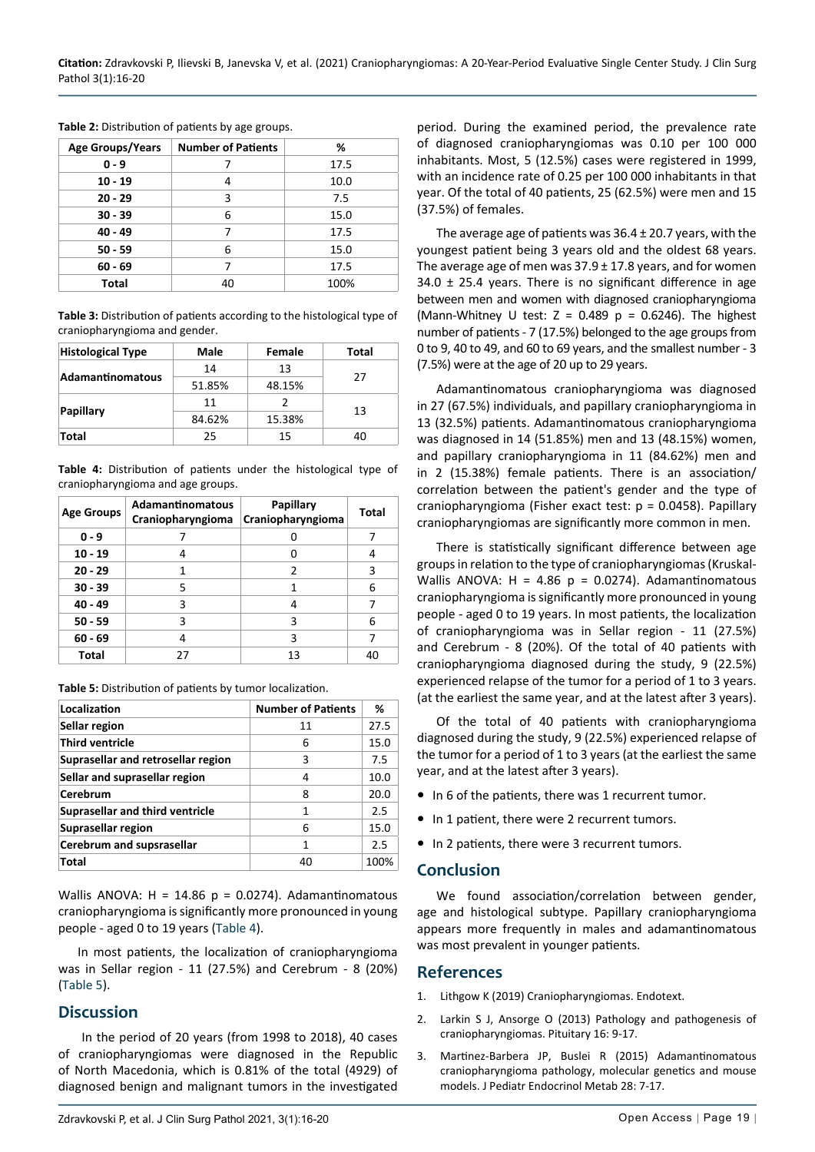| <b>Age Groups/Years</b> | <b>Number of Patients</b> | %    |
|-------------------------|---------------------------|------|
| $0 - 9$                 |                           | 17.5 |
| $10 - 19$               | 4                         | 10.0 |
| $20 - 29$               | 3                         | 7.5  |
| $30 - 39$               | 6                         | 15.0 |
| 40 - 49                 |                           | 17.5 |
| $50 - 59$               | 6                         | 15.0 |
| $60 - 69$               |                           | 17.5 |
| Total                   | 40                        | 100% |

<span id="page-3-0"></span>**Table 2:** Distribution of patients by age groups.

<span id="page-3-1"></span>**Table 3:** Distribution of patients according to the histological type of craniopharyngioma and gender.

| <b>Histological Type</b> | Male   | Female | Total |  |
|--------------------------|--------|--------|-------|--|
| <b>Adamantinomatous</b>  | 14     | 13     | 27    |  |
|                          | 51.85% | 48.15% |       |  |
| Papillary                | 11     |        |       |  |
|                          | 84.62% | 15.38% | 13    |  |
| Total                    | 25     | 15     | 40    |  |

<span id="page-3-2"></span>**Table 4:** Distribution of patients under the histological type of craniopharyngioma and age groups.

| <b>Age Groups</b> | <b>Adamantinomatous</b><br>Craniopharyngioma | Papillary<br>Craniopharyngioma | Total |
|-------------------|----------------------------------------------|--------------------------------|-------|
| $0 - 9$           |                                              |                                |       |
| $10 - 19$         | 4                                            |                                | 4     |
| $20 - 29$         | 1                                            | $\mathcal{P}$                  | 3     |
| $30 - 39$         | 5                                            |                                | 6     |
| 40 - 49           | 3                                            | 4                              |       |
| $50 - 59$         | 3                                            | 3                              | 6     |
| $60 - 69$         | 4                                            | 3                              |       |
| Total             | 27                                           | 13                             | 40    |

<span id="page-3-3"></span>**Table 5:** Distribution of patients by tumor localization.

| Localization                           | <b>Number of Patients</b> | ℅    |
|----------------------------------------|---------------------------|------|
| Sellar region                          | 11                        | 27.5 |
| <b>Third ventricle</b>                 | 6                         | 15.0 |
| Suprasellar and retrosellar region     | 3                         | 7.5  |
| Sellar and suprasellar region          | 4                         | 10.0 |
| Cerebrum                               | 8                         | 20.0 |
| <b>Suprasellar and third ventricle</b> | 1                         | 2.5  |
| Suprasellar region                     | 6                         | 15.0 |
| Cerebrum and supsrasellar              | 1                         | 2.5  |
| <b>Total</b>                           | 40                        | 100% |

Wallis ANOVA:  $H = 14.86$  p = 0.0274). Adamantinomatous craniopharyngioma is significantly more pronounced in young people - aged 0 to 19 years ([Table 4](#page-3-2)).

In most patients, the localization of craniopharyngioma was in Sellar region - 11 (27.5%) and Cerebrum - 8 (20%) ([Table 5](#page-3-3)).

## **Discussion**

 In the period of 20 years (from 1998 to 2018), 40 cases of craniopharyngiomas were diagnosed in the Republic of North Macedonia, which is 0.81% of the total (4929) of diagnosed benign and malignant tumors in the investigated period. During the examined period, the prevalence rate of diagnosed craniopharyngiomas was 0.10 per 100 000 inhabitants. Most, 5 (12.5%) cases were registered in 1999, with an incidence rate of 0.25 per 100 000 inhabitants in that year. Of the total of 40 patients, 25 (62.5%) were men and 15 (37.5%) of females.

The average age of patients was 36.4 ± 20.7 years, with the youngest patient being 3 years old and the oldest 68 years. The average age of men was  $37.9 \pm 17.8$  years, and for women  $34.0 \pm 25.4$  years. There is no significant difference in age between men and women with diagnosed craniopharyngioma (Mann-Whitney U test:  $Z = 0.489$  p = 0.6246). The highest number of patients - 7 (17.5%) belonged to the age groups from 0 to 9, 40 to 49, and 60 to 69 years, and the smallest number - 3 (7.5%) were at the age of 20 up to 29 years.

Adamantinomatous craniopharyngioma was diagnosed in 27 (67.5%) individuals, and papillary craniopharyngioma in 13 (32.5%) patients. Adamantinomatous craniopharyngioma was diagnosed in 14 (51.85%) men and 13 (48.15%) women, and papillary craniopharyngioma in 11 (84.62%) men and in 2 (15.38%) female patients. There is an association/ correlation between the patient's gender and the type of craniopharyngioma (Fisher exact test: p = 0.0458). Papillary craniopharyngiomas are significantly more common in men.

There is statistically significant difference between age groups in relation to the type of craniopharyngiomas (Kruskal-Wallis ANOVA:  $H = 4.86$  p = 0.0274). Adamantinomatous craniopharyngioma is significantly more pronounced in young people - aged 0 to 19 years. In most patients, the localization of craniopharyngioma was in Sellar region - 11 (27.5%) and Cerebrum - 8 (20%). Of the total of 40 patients with craniopharyngioma diagnosed during the study, 9 (22.5%) experienced relapse of the tumor for a period of 1 to 3 years. (at the earliest the same year, and at the latest after 3 years).

Of the total of 40 patients with craniopharyngioma diagnosed during the study, 9 (22.5%) experienced relapse of the tumor for a period of 1 to 3 years (at the earliest the same year, and at the latest after 3 years).

- In 6 of the patients, there was 1 recurrent tumor.
- **•** In 1 patient, there were 2 recurrent tumors.
- **•** In 2 patients, there were 3 recurrent tumors.

#### **Conclusion**

We found association/correlation between gender, age and histological subtype. Papillary craniopharyngioma appears more frequently in males and adamantinomatous was most prevalent in younger patients.

## **References**

- 1. [Lithgow K \(2019\) Craniopharyngiomas. Endotext.](https://www.ncbi.nlm.nih.gov/books/NBK538819/)
- 2. [Larkin S J, Ansorge O \(2013\) Pathology and pathogenesis of](https://pubmed.ncbi.nlm.nih.gov/22886701/)  [craniopharyngiomas. Pituitary 16: 9-17.](https://pubmed.ncbi.nlm.nih.gov/22886701/)
- 3. [Martinez-Barbera JP, Buslei R \(2015\) Adamantinomatous](https://pubmed.ncbi.nlm.nih.gov/25503464/)  [craniopharyngioma pathology, molecular genetics and mouse](https://pubmed.ncbi.nlm.nih.gov/25503464/)  [models. J Pediatr Endocrinol Metab 28: 7-17.](https://pubmed.ncbi.nlm.nih.gov/25503464/)